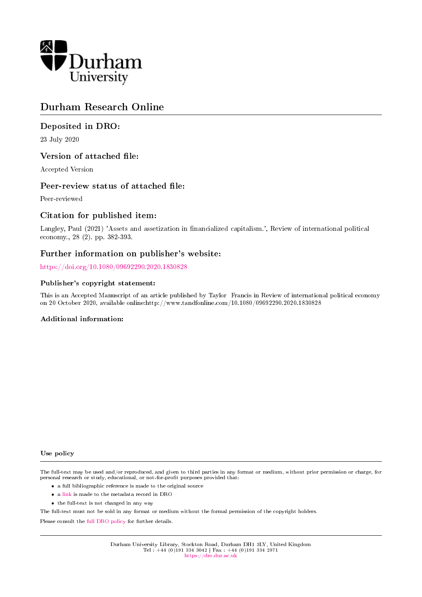

# Durham Research Online

## Deposited in DRO:

23 July 2020

## Version of attached file:

Accepted Version

## Peer-review status of attached file:

Peer-reviewed

## Citation for published item:

Langley, Paul (2021) 'Assets and assetization in nancialized capitalism.', Review of international political economy., 28 (2). pp. 382-393.

## Further information on publisher's website:

<https://doi.org/10.1080/09692290.2020.1830828>

#### Publisher's copyright statement:

This is an Accepted Manuscript of an article published by Taylor Francis in Review of international political economy on 20 October 2020, available online:http://www.tandfonline.com/10.1080/09692290.2020.1830828

#### Additional information:

#### Use policy

The full-text may be used and/or reproduced, and given to third parties in any format or medium, without prior permission or charge, for personal research or study, educational, or not-for-profit purposes provided that:

- a full bibliographic reference is made to the original source
- a [link](http://dro.dur.ac.uk/31355/) is made to the metadata record in DRO
- the full-text is not changed in any way

The full-text must not be sold in any format or medium without the formal permission of the copyright holders.

Please consult the [full DRO policy](https://dro.dur.ac.uk/policies/usepolicy.pdf) for further details.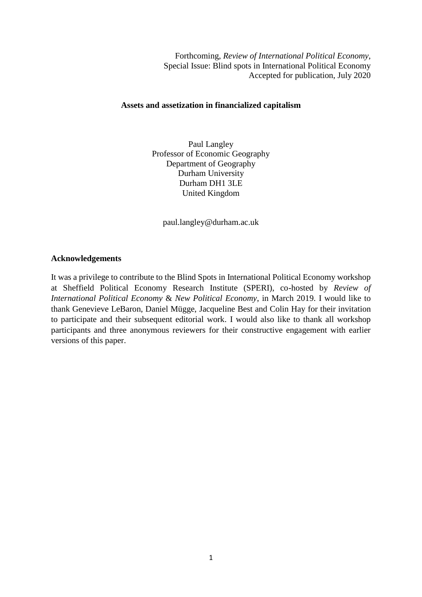Forthcoming, *Review of International Political Economy*, Special Issue: Blind spots in International Political Economy Accepted for publication, July 2020

## **Assets and assetization in financialized capitalism**

Paul Langley Professor of Economic Geography Department of Geography Durham University Durham DH1 3LE United Kingdom

paul.langley@durham.ac.uk

## **Acknowledgements**

It was a privilege to contribute to the Blind Spots in International Political Economy workshop at Sheffield Political Economy Research Institute (SPERI), co-hosted by *Review of International Political Economy* & *New Political Economy*, in March 2019. I would like to thank Genevieve LeBaron, Daniel Mügge, Jacqueline Best and Colin Hay for their invitation to participate and their subsequent editorial work. I would also like to thank all workshop participants and three anonymous reviewers for their constructive engagement with earlier versions of this paper.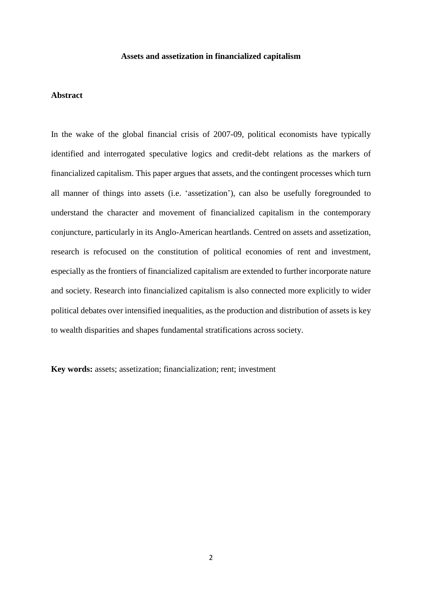#### **Assets and assetization in financialized capitalism**

### **Abstract**

In the wake of the global financial crisis of 2007-09, political economists have typically identified and interrogated speculative logics and credit-debt relations as the markers of financialized capitalism. This paper argues that assets, and the contingent processes which turn all manner of things into assets (i.e. 'assetization'), can also be usefully foregrounded to understand the character and movement of financialized capitalism in the contemporary conjuncture, particularly in its Anglo-American heartlands. Centred on assets and assetization, research is refocused on the constitution of political economies of rent and investment, especially as the frontiers of financialized capitalism are extended to further incorporate nature and society. Research into financialized capitalism is also connected more explicitly to wider political debates over intensified inequalities, as the production and distribution of assets is key to wealth disparities and shapes fundamental stratifications across society.

**Key words:** assets; assetization; financialization; rent; investment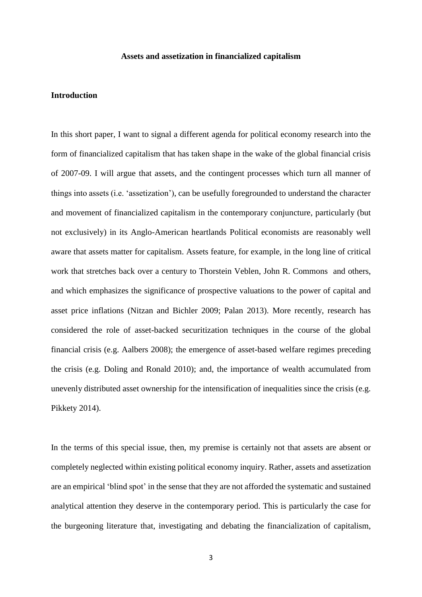#### **Assets and assetization in financialized capitalism**

### **Introduction**

In this short paper, I want to signal a different agenda for political economy research into the form of financialized capitalism that has taken shape in the wake of the global financial crisis of 2007-09. I will argue that assets, and the contingent processes which turn all manner of things into assets (i.e. 'assetization'), can be usefully foregrounded to understand the character and movement of financialized capitalism in the contemporary conjuncture, particularly (but not exclusively) in its Anglo-American heartlands Political economists are reasonably well aware that assets matter for capitalism. Assets feature, for example, in the long line of critical work that stretches back over a century to Thorstein Veblen, John R. Commons and others, and which emphasizes the significance of prospective valuations to the power of capital and asset price inflations (Nitzan and Bichler 2009; Palan 2013). More recently, research has considered the role of asset-backed securitization techniques in the course of the global financial crisis (e.g. Aalbers 2008); the emergence of asset-based welfare regimes preceding the crisis (e.g. Doling and Ronald 2010); and, the importance of wealth accumulated from unevenly distributed asset ownership for the intensification of inequalities since the crisis (e.g. Pikkety 2014).

In the terms of this special issue, then, my premise is certainly not that assets are absent or completely neglected within existing political economy inquiry. Rather, assets and assetization are an empirical 'blind spot' in the sense that they are not afforded the systematic and sustained analytical attention they deserve in the contemporary period. This is particularly the case for the burgeoning literature that, investigating and debating the financialization of capitalism,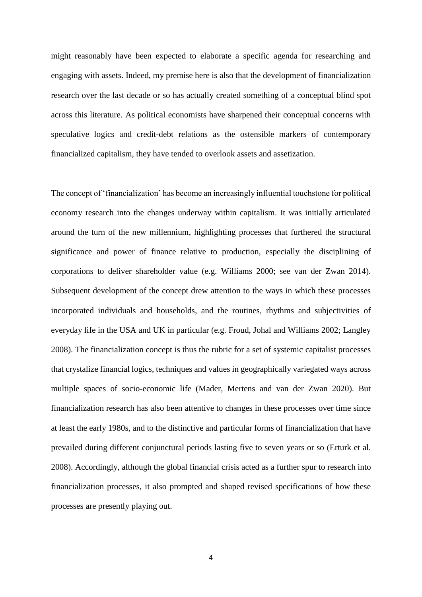might reasonably have been expected to elaborate a specific agenda for researching and engaging with assets. Indeed, my premise here is also that the development of financialization research over the last decade or so has actually created something of a conceptual blind spot across this literature. As political economists have sharpened their conceptual concerns with speculative logics and credit-debt relations as the ostensible markers of contemporary financialized capitalism, they have tended to overlook assets and assetization.

The concept of 'financialization' has become an increasingly influential touchstone for political economy research into the changes underway within capitalism. It was initially articulated around the turn of the new millennium, highlighting processes that furthered the structural significance and power of finance relative to production, especially the disciplining of corporations to deliver shareholder value (e.g. Williams 2000; see van der Zwan 2014). Subsequent development of the concept drew attention to the ways in which these processes incorporated individuals and households, and the routines, rhythms and subjectivities of everyday life in the USA and UK in particular (e.g. Froud, Johal and Williams 2002; Langley 2008). The financialization concept is thus the rubric for a set of systemic capitalist processes that crystalize financial logics, techniques and values in geographically variegated ways across multiple spaces of socio-economic life (Mader, Mertens and van der Zwan 2020). But financialization research has also been attentive to changes in these processes over time since at least the early 1980s, and to the distinctive and particular forms of financialization that have prevailed during different conjunctural periods lasting five to seven years or so (Erturk et al. 2008). Accordingly, although the global financial crisis acted as a further spur to research into financialization processes, it also prompted and shaped revised specifications of how these processes are presently playing out.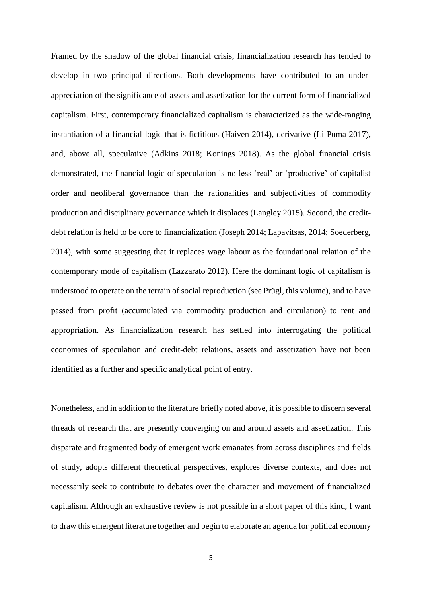Framed by the shadow of the global financial crisis, financialization research has tended to develop in two principal directions. Both developments have contributed to an underappreciation of the significance of assets and assetization for the current form of financialized capitalism. First, contemporary financialized capitalism is characterized as the wide-ranging instantiation of a financial logic that is fictitious (Haiven 2014), derivative (Li Puma 2017), and, above all, speculative (Adkins 2018; Konings 2018). As the global financial crisis demonstrated, the financial logic of speculation is no less 'real' or 'productive' of capitalist order and neoliberal governance than the rationalities and subjectivities of commodity production and disciplinary governance which it displaces (Langley 2015). Second, the creditdebt relation is held to be core to financialization (Joseph 2014; Lapavitsas, 2014; Soederberg, 2014), with some suggesting that it replaces wage labour as the foundational relation of the contemporary mode of capitalism (Lazzarato 2012). Here the dominant logic of capitalism is understood to operate on the terrain of social reproduction (see Prügl, this volume), and to have passed from profit (accumulated via commodity production and circulation) to rent and appropriation. As financialization research has settled into interrogating the political economies of speculation and credit-debt relations, assets and assetization have not been identified as a further and specific analytical point of entry.

Nonetheless, and in addition to the literature briefly noted above, it is possible to discern several threads of research that are presently converging on and around assets and assetization. This disparate and fragmented body of emergent work emanates from across disciplines and fields of study, adopts different theoretical perspectives, explores diverse contexts, and does not necessarily seek to contribute to debates over the character and movement of financialized capitalism. Although an exhaustive review is not possible in a short paper of this kind, I want to draw this emergent literature together and begin to elaborate an agenda for political economy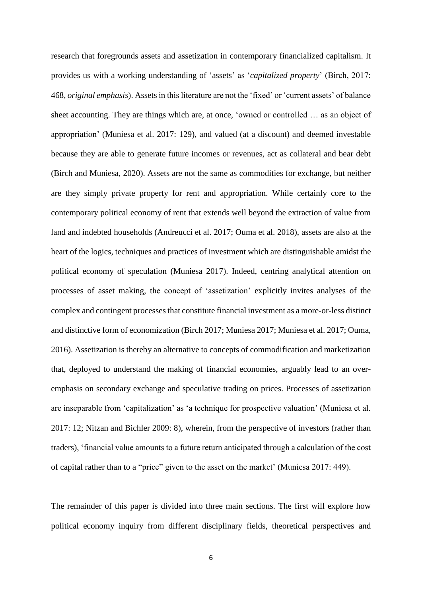research that foregrounds assets and assetization in contemporary financialized capitalism. It provides us with a working understanding of 'assets' as '*capitalized property*' (Birch, 2017: 468, *original emphasis*). Assetsin this literature are not the 'fixed' or 'current assets' of balance sheet accounting. They are things which are, at once, 'owned or controlled … as an object of appropriation' (Muniesa et al. 2017: 129), and valued (at a discount) and deemed investable because they are able to generate future incomes or revenues, act as collateral and bear debt (Birch and Muniesa, 2020). Assets are not the same as commodities for exchange, but neither are they simply private property for rent and appropriation. While certainly core to the contemporary political economy of rent that extends well beyond the extraction of value from land and indebted households (Andreucci et al. 2017; Ouma et al. 2018), assets are also at the heart of the logics, techniques and practices of investment which are distinguishable amidst the political economy of speculation (Muniesa 2017). Indeed, centring analytical attention on processes of asset making, the concept of 'assetization' explicitly invites analyses of the complex and contingent processes that constitute financial investment as a more-or-less distinct and distinctive form of economization (Birch 2017; Muniesa 2017; Muniesa et al. 2017; Ouma, 2016). Assetization is thereby an alternative to concepts of commodification and marketization that, deployed to understand the making of financial economies, arguably lead to an overemphasis on secondary exchange and speculative trading on prices. Processes of assetization are inseparable from 'capitalization' as 'a technique for prospective valuation' (Muniesa et al. 2017: 12; Nitzan and Bichler 2009: 8), wherein, from the perspective of investors (rather than traders), 'financial value amounts to a future return anticipated through a calculation of the cost of capital rather than to a "price" given to the asset on the market' (Muniesa 2017: 449).

The remainder of this paper is divided into three main sections. The first will explore how political economy inquiry from different disciplinary fields, theoretical perspectives and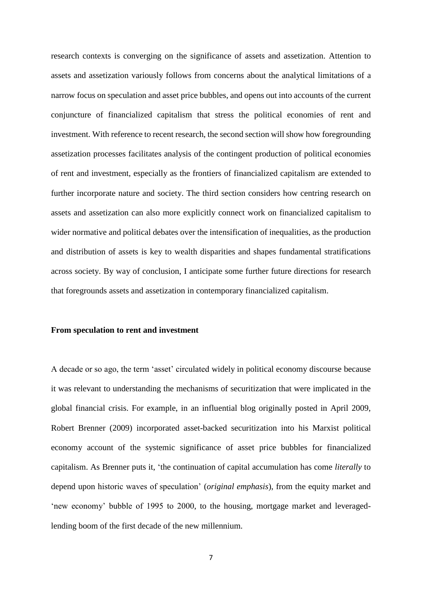research contexts is converging on the significance of assets and assetization. Attention to assets and assetization variously follows from concerns about the analytical limitations of a narrow focus on speculation and asset price bubbles, and opens out into accounts of the current conjuncture of financialized capitalism that stress the political economies of rent and investment. With reference to recent research, the second section will show how foregrounding assetization processes facilitates analysis of the contingent production of political economies of rent and investment, especially as the frontiers of financialized capitalism are extended to further incorporate nature and society. The third section considers how centring research on assets and assetization can also more explicitly connect work on financialized capitalism to wider normative and political debates over the intensification of inequalities, as the production and distribution of assets is key to wealth disparities and shapes fundamental stratifications across society. By way of conclusion, I anticipate some further future directions for research that foregrounds assets and assetization in contemporary financialized capitalism.

### **From speculation to rent and investment**

A decade or so ago, the term 'asset' circulated widely in political economy discourse because it was relevant to understanding the mechanisms of securitization that were implicated in the global financial crisis. For example, in an influential blog originally posted in April 2009, Robert Brenner (2009) incorporated asset-backed securitization into his Marxist political economy account of the systemic significance of asset price bubbles for financialized capitalism. As Brenner puts it, 'the continuation of capital accumulation has come *literally* to depend upon historic waves of speculation' (*original emphasis*), from the equity market and 'new economy' bubble of 1995 to 2000, to the housing, mortgage market and leveragedlending boom of the first decade of the new millennium.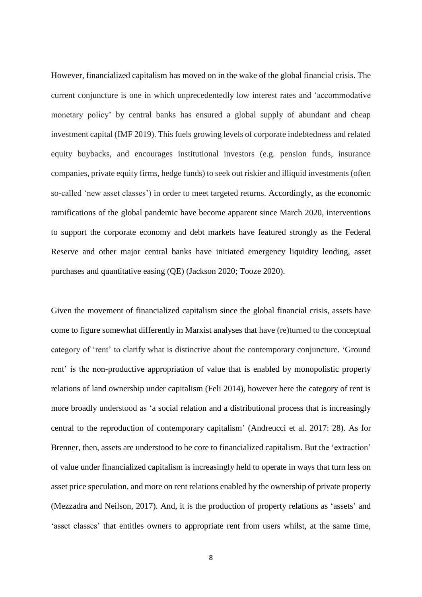However, financialized capitalism has moved on in the wake of the global financial crisis. The current conjuncture is one in which unprecedentedly low interest rates and 'accommodative monetary policy' by central banks has ensured a global supply of abundant and cheap investment capital (IMF 2019). This fuels growing levels of corporate indebtedness and related equity buybacks, and encourages institutional investors (e.g. pension funds, insurance companies, private equity firms, hedge funds) to seek out riskier and illiquid investments (often so-called 'new asset classes') in order to meet targeted returns. Accordingly, as the economic ramifications of the global pandemic have become apparent since March 2020, interventions to support the corporate economy and debt markets have featured strongly as the Federal Reserve and other major central banks have initiated emergency liquidity lending, asset purchases and quantitative easing (QE) (Jackson 2020; Tooze 2020).

Given the movement of financialized capitalism since the global financial crisis, assets have come to figure somewhat differently in Marxist analyses that have (re)turned to the conceptual category of 'rent' to clarify what is distinctive about the contemporary conjuncture. 'Ground rent' is the non-productive appropriation of value that is enabled by monopolistic property relations of land ownership under capitalism (Feli 2014), however here the category of rent is more broadly understood as 'a social relation and a distributional process that is increasingly central to the reproduction of contemporary capitalism' (Andreucci et al. 2017: 28). As for Brenner, then, assets are understood to be core to financialized capitalism. But the 'extraction' of value under financialized capitalism is increasingly held to operate in ways that turn less on asset price speculation, and more on rent relations enabled by the ownership of private property (Mezzadra and Neilson, 2017). And, it is the production of property relations as 'assets' and 'asset classes' that entitles owners to appropriate rent from users whilst, at the same time,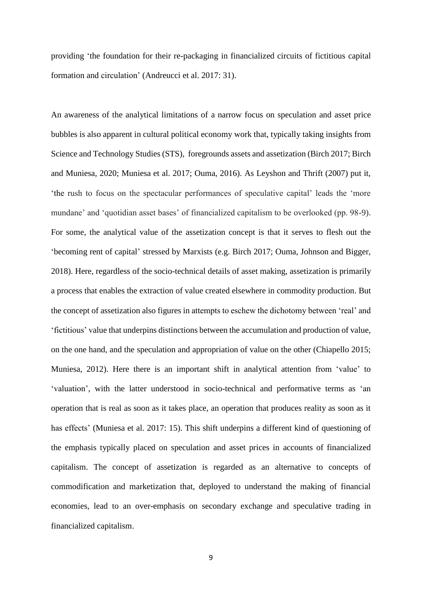providing 'the foundation for their re-packaging in financialized circuits of fictitious capital formation and circulation' (Andreucci et al. 2017: 31).

An awareness of the analytical limitations of a narrow focus on speculation and asset price bubbles is also apparent in cultural political economy work that, typically taking insights from Science and Technology Studies (STS), foregrounds assets and assetization (Birch 2017; Birch and Muniesa, 2020; Muniesa et al. 2017; Ouma, 2016). As Leyshon and Thrift (2007) put it, 'the rush to focus on the spectacular performances of speculative capital' leads the 'more mundane' and 'quotidian asset bases' of financialized capitalism to be overlooked (pp. 98-9). For some, the analytical value of the assetization concept is that it serves to flesh out the 'becoming rent of capital' stressed by Marxists (e.g. Birch 2017; Ouma, Johnson and Bigger, 2018). Here, regardless of the socio-technical details of asset making, assetization is primarily a process that enables the extraction of value created elsewhere in commodity production. But the concept of assetization also figures in attempts to eschew the dichotomy between 'real' and 'fictitious' value that underpins distinctions between the accumulation and production of value, on the one hand, and the speculation and appropriation of value on the other (Chiapello 2015; Muniesa, 2012). Here there is an important shift in analytical attention from 'value' to 'valuation', with the latter understood in socio-technical and performative terms as 'an operation that is real as soon as it takes place, an operation that produces reality as soon as it has effects' (Muniesa et al. 2017: 15). This shift underpins a different kind of questioning of the emphasis typically placed on speculation and asset prices in accounts of financialized capitalism. The concept of assetization is regarded as an alternative to concepts of commodification and marketization that, deployed to understand the making of financial economies, lead to an over-emphasis on secondary exchange and speculative trading in financialized capitalism.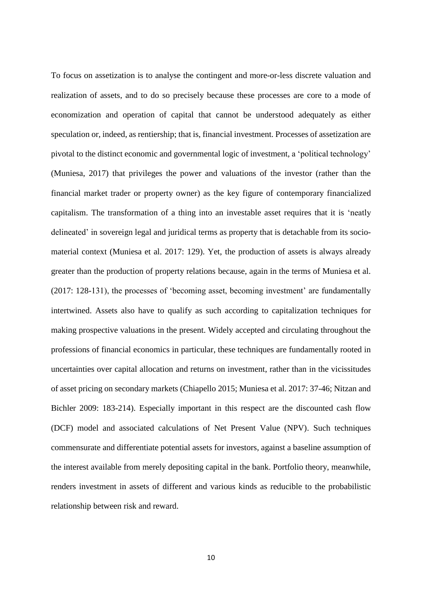To focus on assetization is to analyse the contingent and more-or-less discrete valuation and realization of assets, and to do so precisely because these processes are core to a mode of economization and operation of capital that cannot be understood adequately as either speculation or, indeed, as rentiership; that is, financial investment. Processes of assetization are pivotal to the distinct economic and governmental logic of investment, a 'political technology' (Muniesa, 2017) that privileges the power and valuations of the investor (rather than the financial market trader or property owner) as the key figure of contemporary financialized capitalism. The transformation of a thing into an investable asset requires that it is 'neatly delineated' in sovereign legal and juridical terms as property that is detachable from its sociomaterial context (Muniesa et al. 2017: 129). Yet, the production of assets is always already greater than the production of property relations because, again in the terms of Muniesa et al. (2017: 128-131), the processes of 'becoming asset, becoming investment' are fundamentally intertwined. Assets also have to qualify as such according to capitalization techniques for making prospective valuations in the present. Widely accepted and circulating throughout the professions of financial economics in particular, these techniques are fundamentally rooted in uncertainties over capital allocation and returns on investment, rather than in the vicissitudes of asset pricing on secondary markets (Chiapello 2015; Muniesa et al. 2017: 37-46; Nitzan and Bichler 2009: 183-214). Especially important in this respect are the discounted cash flow (DCF) model and associated calculations of Net Present Value (NPV). Such techniques commensurate and differentiate potential assets for investors, against a baseline assumption of the interest available from merely depositing capital in the bank. Portfolio theory, meanwhile, renders investment in assets of different and various kinds as reducible to the probabilistic relationship between risk and reward.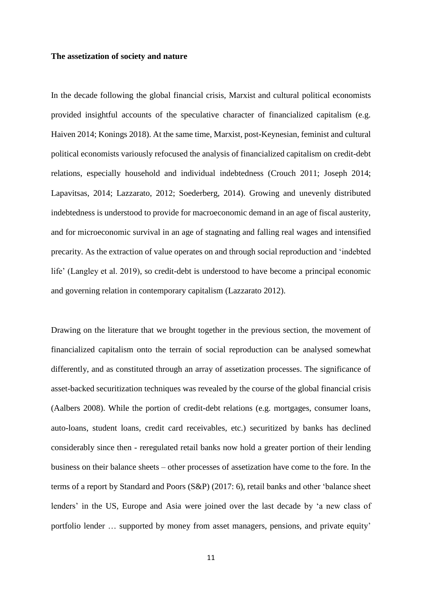#### **The assetization of society and nature**

In the decade following the global financial crisis, Marxist and cultural political economists provided insightful accounts of the speculative character of financialized capitalism (e.g. Haiven 2014; Konings 2018). At the same time, Marxist, post-Keynesian, feminist and cultural political economists variously refocused the analysis of financialized capitalism on credit-debt relations, especially household and individual indebtedness (Crouch 2011; Joseph 2014; Lapavitsas, 2014; Lazzarato, 2012; Soederberg, 2014). Growing and unevenly distributed indebtedness is understood to provide for macroeconomic demand in an age of fiscal austerity, and for microeconomic survival in an age of stagnating and falling real wages and intensified precarity. As the extraction of value operates on and through social reproduction and 'indebted life' (Langley et al. 2019), so credit-debt is understood to have become a principal economic and governing relation in contemporary capitalism (Lazzarato 2012).

Drawing on the literature that we brought together in the previous section, the movement of financialized capitalism onto the terrain of social reproduction can be analysed somewhat differently, and as constituted through an array of assetization processes. The significance of asset-backed securitization techniques was revealed by the course of the global financial crisis (Aalbers 2008). While the portion of credit-debt relations (e.g. mortgages, consumer loans, auto-loans, student loans, credit card receivables, etc.) securitized by banks has declined considerably since then - reregulated retail banks now hold a greater portion of their lending business on their balance sheets – other processes of assetization have come to the fore. In the terms of a report by Standard and Poors (S&P) (2017: 6), retail banks and other 'balance sheet lenders' in the US, Europe and Asia were joined over the last decade by 'a new class of portfolio lender … supported by money from asset managers, pensions, and private equity'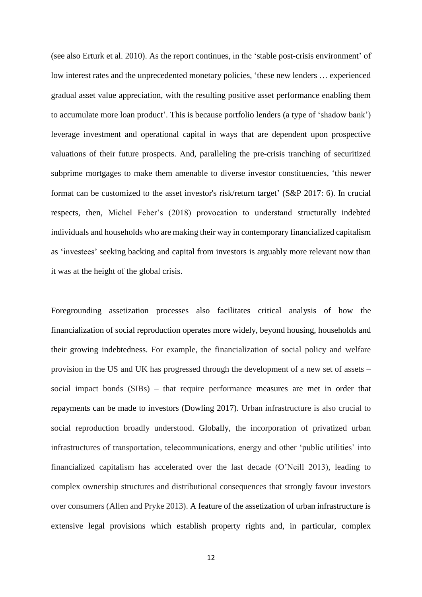(see also Erturk et al. 2010). As the report continues, in the 'stable post-crisis environment' of low interest rates and the unprecedented monetary policies, 'these new lenders … experienced gradual asset value appreciation, with the resulting positive asset performance enabling them to accumulate more loan product'. This is because portfolio lenders (a type of 'shadow bank') leverage investment and operational capital in ways that are dependent upon prospective valuations of their future prospects. And, paralleling the pre-crisis tranching of securitized subprime mortgages to make them amenable to diverse investor constituencies, 'this newer format can be customized to the asset investor's risk/return target' (S&P 2017: 6). In crucial respects, then, Michel Feher's (2018) provocation to understand structurally indebted individuals and households who are making their way in contemporary financialized capitalism as 'investees' seeking backing and capital from investors is arguably more relevant now than it was at the height of the global crisis.

Foregrounding assetization processes also facilitates critical analysis of how the financialization of social reproduction operates more widely, beyond housing, households and their growing indebtedness. For example, the financialization of social policy and welfare provision in the US and UK has progressed through the development of a new set of assets – social impact bonds (SIBs) – that require performance measures are met in order that repayments can be made to investors (Dowling 2017). Urban infrastructure is also crucial to social reproduction broadly understood. Globally, the incorporation of privatized urban infrastructures of transportation, telecommunications, energy and other 'public utilities' into financialized capitalism has accelerated over the last decade (O'Neill 2013), leading to complex ownership structures and distributional consequences that strongly favour investors over consumers (Allen and Pryke 2013). A feature of the assetization of urban infrastructure is extensive legal provisions which establish property rights and, in particular, complex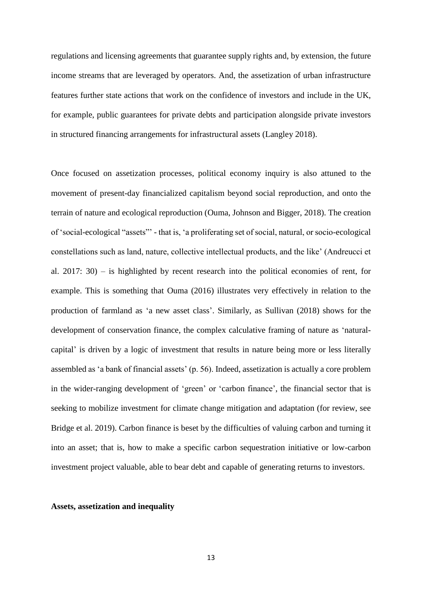regulations and licensing agreements that guarantee supply rights and, by extension, the future income streams that are leveraged by operators. And, the assetization of urban infrastructure features further state actions that work on the confidence of investors and include in the UK, for example, public guarantees for private debts and participation alongside private investors in structured financing arrangements for infrastructural assets (Langley 2018).

Once focused on assetization processes, political economy inquiry is also attuned to the movement of present-day financialized capitalism beyond social reproduction, and onto the terrain of nature and ecological reproduction (Ouma, Johnson and Bigger, 2018). The creation of 'social-ecological "assets"' - that is, 'a proliferating set of social, natural, or socio-ecological constellations such as land, nature, collective intellectual products, and the like' (Andreucci et al. 2017: 30) – is highlighted by recent research into the political economies of rent, for example. This is something that Ouma (2016) illustrates very effectively in relation to the production of farmland as 'a new asset class'. Similarly, as Sullivan (2018) shows for the development of conservation finance, the complex calculative framing of nature as 'naturalcapital' is driven by a logic of investment that results in nature being more or less literally assembled as 'a bank of financial assets' (p. 56). Indeed, assetization is actually a core problem in the wider-ranging development of 'green' or 'carbon finance', the financial sector that is seeking to mobilize investment for climate change mitigation and adaptation (for review, see Bridge et al. 2019). Carbon finance is beset by the difficulties of valuing carbon and turning it into an asset; that is, how to make a specific carbon sequestration initiative or low-carbon investment project valuable, able to bear debt and capable of generating returns to investors.

#### **Assets, assetization and inequality**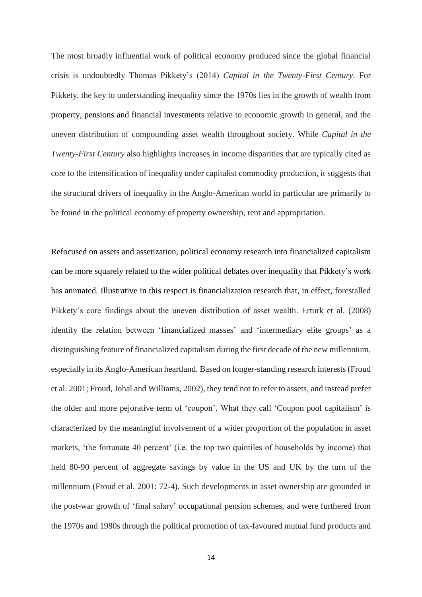The most broadly influential work of political economy produced since the global financial crisis is undoubtedly Thomas Pikkety's (2014) *Capital in the Twenty-First Century*. For Pikkety, the key to understanding inequality since the 1970s lies in the growth of wealth from property, pensions and financial investments relative to economic growth in general, and the uneven distribution of compounding asset wealth throughout society. While *Capital in the Twenty-First Century* also highlights increases in income disparities that are typically cited as core to the intensification of inequality under capitalist commodity production, it suggests that the structural drivers of inequality in the Anglo-American world in particular are primarily to be found in the political economy of property ownership, rent and appropriation.

Refocused on assets and assetization, political economy research into financialized capitalism can be more squarely related to the wider political debates over inequality that Pikkety's work has animated*.* Illustrative in this respect is financialization research that, in effect, forestalled Pikkety's core findings about the uneven distribution of asset wealth. Erturk et al. (2008) identify the relation between 'financialized masses' and 'intermediary elite groups' as a distinguishing feature of financialized capitalism during the first decade of the new millennium, especially in its Anglo-American heartland. Based on longer-standing research interests (Froud et al. 2001; Froud, Johal and Williams, 2002), they tend not to refer to assets, and instead prefer the older and more pejorative term of 'coupon'. What they call 'Coupon pool capitalism' is characterized by the meaningful involvement of a wider proportion of the population in asset markets, 'the fortunate 40 percent' (i.e. the top two quintiles of households by income) that held 80-90 percent of aggregate savings by value in the US and UK by the turn of the millennium (Froud et al. 2001: 72-4). Such developments in asset ownership are grounded in the post-war growth of 'final salary' occupational pension schemes, and were furthered from the 1970s and 1980s through the political promotion of tax-favoured mutual fund products and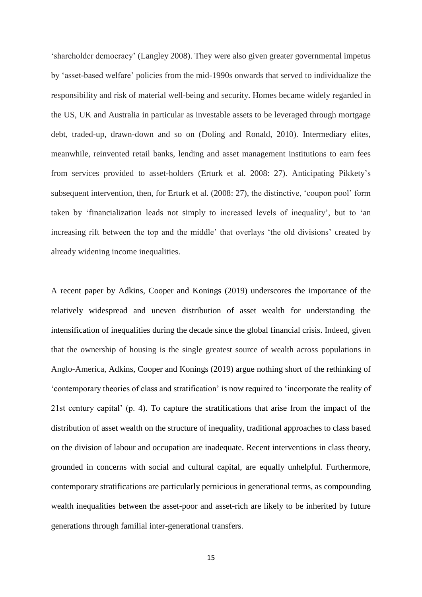'shareholder democracy' (Langley 2008). They were also given greater governmental impetus by 'asset-based welfare' policies from the mid-1990s onwards that served to individualize the responsibility and risk of material well-being and security. Homes became widely regarded in the US, UK and Australia in particular as investable assets to be leveraged through mortgage debt, traded-up, drawn-down and so on (Doling and Ronald, 2010). Intermediary elites, meanwhile, reinvented retail banks, lending and asset management institutions to earn fees from services provided to asset-holders (Erturk et al. 2008: 27). Anticipating Pikkety's subsequent intervention, then, for Erturk et al. (2008: 27), the distinctive, 'coupon pool' form taken by 'financialization leads not simply to increased levels of inequality', but to 'an increasing rift between the top and the middle' that overlays 'the old divisions' created by already widening income inequalities.

A recent paper by Adkins, Cooper and Konings (2019) underscores the importance of the relatively widespread and uneven distribution of asset wealth for understanding the intensification of inequalities during the decade since the global financial crisis. Indeed, given that the ownership of housing is the single greatest source of wealth across populations in Anglo-America, Adkins, Cooper and Konings (2019) argue nothing short of the rethinking of 'contemporary theories of class and stratification' is now required to 'incorporate the reality of 21st century capital' (p. 4). To capture the stratifications that arise from the impact of the distribution of asset wealth on the structure of inequality, traditional approaches to class based on the division of labour and occupation are inadequate. Recent interventions in class theory, grounded in concerns with social and cultural capital, are equally unhelpful. Furthermore, contemporary stratifications are particularly pernicious in generational terms, as compounding wealth inequalities between the asset-poor and asset-rich are likely to be inherited by future generations through familial inter-generational transfers.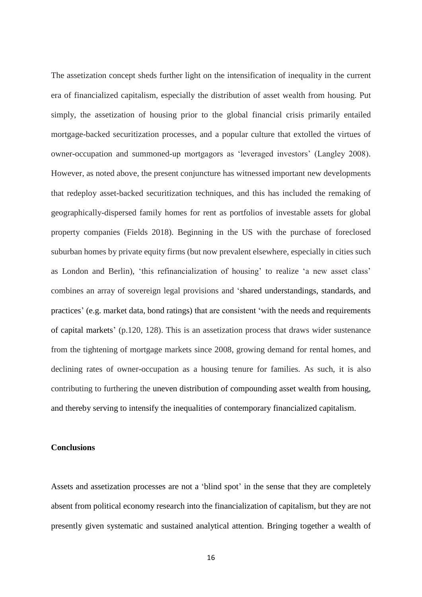The assetization concept sheds further light on the intensification of inequality in the current era of financialized capitalism, especially the distribution of asset wealth from housing. Put simply, the assetization of housing prior to the global financial crisis primarily entailed mortgage-backed securitization processes, and a popular culture that extolled the virtues of owner-occupation and summoned-up mortgagors as 'leveraged investors' (Langley 2008). However, as noted above, the present conjuncture has witnessed important new developments that redeploy asset-backed securitization techniques, and this has included the remaking of geographically-dispersed family homes for rent as portfolios of investable assets for global property companies (Fields 2018). Beginning in the US with the purchase of foreclosed suburban homes by private equity firms (but now prevalent elsewhere, especially in cities such as London and Berlin), 'this refinancialization of housing' to realize 'a new asset class' combines an array of sovereign legal provisions and 'shared understandings, standards, and practices' (e.g. market data, bond ratings) that are consistent 'with the needs and requirements of capital markets' (p.120, 128). This is an assetization process that draws wider sustenance from the tightening of mortgage markets since 2008, growing demand for rental homes, and declining rates of owner-occupation as a housing tenure for families. As such, it is also contributing to furthering the uneven distribution of compounding asset wealth from housing, and thereby serving to intensify the inequalities of contemporary financialized capitalism.

## **Conclusions**

Assets and assetization processes are not a 'blind spot' in the sense that they are completely absent from political economy research into the financialization of capitalism, but they are not presently given systematic and sustained analytical attention. Bringing together a wealth of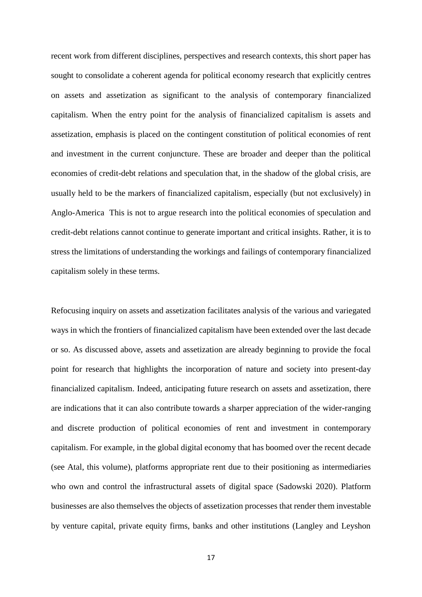recent work from different disciplines, perspectives and research contexts, this short paper has sought to consolidate a coherent agenda for political economy research that explicitly centres on assets and assetization as significant to the analysis of contemporary financialized capitalism. When the entry point for the analysis of financialized capitalism is assets and assetization, emphasis is placed on the contingent constitution of political economies of rent and investment in the current conjuncture. These are broader and deeper than the political economies of credit-debt relations and speculation that, in the shadow of the global crisis, are usually held to be the markers of financialized capitalism, especially (but not exclusively) in Anglo-America This is not to argue research into the political economies of speculation and credit-debt relations cannot continue to generate important and critical insights. Rather, it is to stress the limitations of understanding the workings and failings of contemporary financialized capitalism solely in these terms.

Refocusing inquiry on assets and assetization facilitates analysis of the various and variegated ways in which the frontiers of financialized capitalism have been extended over the last decade or so. As discussed above, assets and assetization are already beginning to provide the focal point for research that highlights the incorporation of nature and society into present-day financialized capitalism. Indeed, anticipating future research on assets and assetization, there are indications that it can also contribute towards a sharper appreciation of the wider-ranging and discrete production of political economies of rent and investment in contemporary capitalism. For example, in the global digital economy that has boomed over the recent decade (see Atal, this volume), platforms appropriate rent due to their positioning as intermediaries who own and control the infrastructural assets of digital space (Sadowski 2020). Platform businesses are also themselves the objects of assetization processes that render them investable by venture capital, private equity firms, banks and other institutions (Langley and Leyshon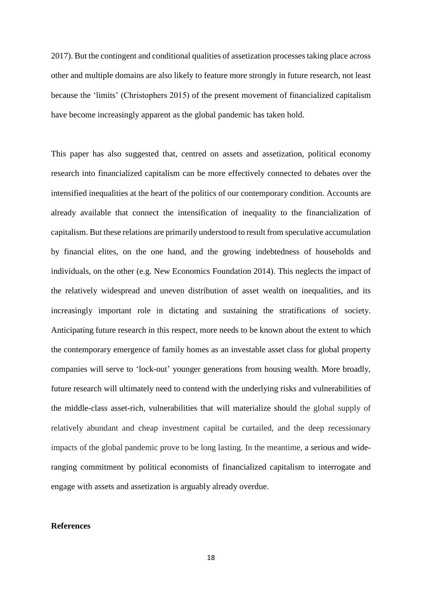2017). But the contingent and conditional qualities of assetization processes taking place across other and multiple domains are also likely to feature more strongly in future research, not least because the 'limits' (Christophers 2015) of the present movement of financialized capitalism have become increasingly apparent as the global pandemic has taken hold.

This paper has also suggested that, centred on assets and assetization, political economy research into financialized capitalism can be more effectively connected to debates over the intensified inequalities at the heart of the politics of our contemporary condition. Accounts are already available that connect the intensification of inequality to the financialization of capitalism. But these relations are primarily understood to result from speculative accumulation by financial elites, on the one hand, and the growing indebtedness of households and individuals, on the other (e.g. New Economics Foundation 2014). This neglects the impact of the relatively widespread and uneven distribution of asset wealth on inequalities, and its increasingly important role in dictating and sustaining the stratifications of society. Anticipating future research in this respect, more needs to be known about the extent to which the contemporary emergence of family homes as an investable asset class for global property companies will serve to 'lock-out' younger generations from housing wealth. More broadly, future research will ultimately need to contend with the underlying risks and vulnerabilities of the middle-class asset-rich, vulnerabilities that will materialize should the global supply of relatively abundant and cheap investment capital be curtailed, and the deep recessionary impacts of the global pandemic prove to be long lasting. In the meantime, a serious and wideranging commitment by political economists of financialized capitalism to interrogate and engage with assets and assetization is arguably already overdue.

## **References**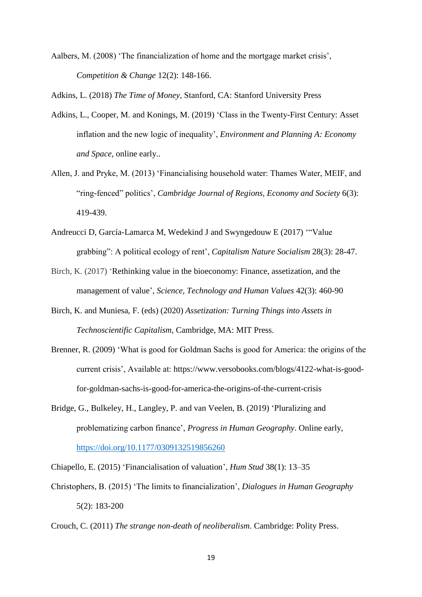Aalbers, M. (2008) 'The financialization of home and the mortgage market crisis', *Competition & Change* 12(2): 148-166.

Adkins, L. (2018) *The Time of Money*, Stanford, CA: Stanford University Press

- Adkins, L., Cooper, M. and Konings, M. (2019) 'Class in the Twenty-First Century: Asset inflation and the new logic of inequality', *Environment and Planning A: Economy and Space*, online early..
- Allen, J. and Pryke, M. (2013) 'Financialising household water: Thames Water, MEIF, and "ring-fenced" politics', *Cambridge Journal of Regions, Economy and Society* 6(3): 419-439.
- Andreucci D, García-Lamarca M, Wedekind J and Swyngedouw E (2017) '"Value grabbing": A political ecology of rent', *Capitalism Nature Socialism* 28(3): 28-47.
- Birch, K. (2017) 'Rethinking value in the bioeconomy: Finance, assetization, and the management of value', *Science, Technology and Human Values* 42(3): 460-90
- Birch, K. and Muniesa, F. (eds) (2020) *Assetization: Turning Things into Assets in Technoscientific Capitalism*, Cambridge, MA: MIT Press.
- Brenner, R. (2009) 'What is good for Goldman Sachs is good for America: the origins of the current crisis', Available at: https://www.versobooks.com/blogs/4122-what-is-goodfor-goldman-sachs-is-good-for-america-the-origins-of-the-current-crisis
- Bridge, G., Bulkeley, H., Langley, P. and van Veelen, B. (2019) 'Pluralizing and problematizing carbon finance', *Progress in Human Geography*. Online early, [https://doi.org/10.1177/0309132519856260](https://doi.org/10.1177%2F0309132519856260)

Chiapello, E. (2015) 'Financialisation of valuation', *Hum Stud* 38(1): 13–35

- Christophers, B. (2015) 'The limits to financialization', *Dialogues in Human Geography* 5(2): 183-200
- Crouch, C. (2011) *The strange non-death of neoliberalism*. Cambridge: Polity Press.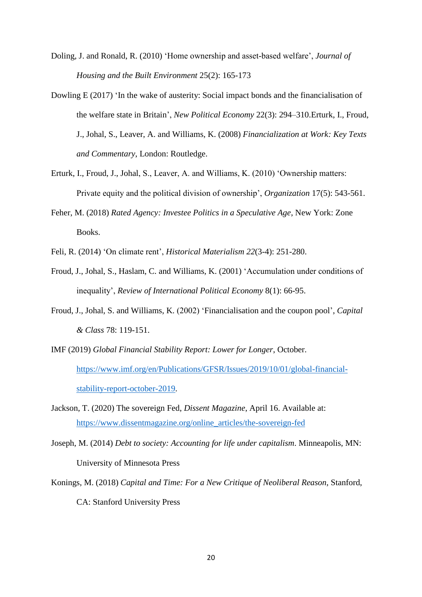- Doling, J. and Ronald, R. (2010) 'Home ownership and asset-based welfare', *Journal of Housing and the Built Environment* 25(2): 165-173
- Dowling E (2017) 'In the wake of austerity: Social impact bonds and the financialisation of the welfare state in Britain', *New Political Economy* 22(3): 294–310.Erturk, I., Froud, J., Johal, S., Leaver, A. and Williams, K. (2008) *Financialization at Work: Key Texts and Commentary*, London: Routledge.
- Erturk, I., Froud, J., Johal, S., Leaver, A. and Williams, K. (2010) 'Ownership matters: Private equity and the political division of ownership', *Organization* 17(5): 543-561.
- Feher, M. (2018) *Rated Agency: Investee Politics in a Speculative Age*, New York: Zone Books.
- Feli, R. (2014) 'On climate rent', *Historical Materialism 22*(3-4): 251-280.
- Froud, J., Johal, S., Haslam, C. and Williams, K. (2001) 'Accumulation under conditions of inequality', *Review of International Political Economy* 8(1): 66-95.
- Froud, J., Johal, S. and Williams, K. (2002) 'Financialisation and the coupon pool', *Capital & Class* 78: 119-151.
- IMF (2019) *Global Financial Stability Report: Lower for Longer*, October. [https://www.imf.org/en/Publications/GFSR/Issues/2019/10/01/global-financial](https://www.imf.org/en/Publications/GFSR/Issues/2019/10/01/global-financial-stability-report-october-2019)[stability-report-october-2019.](https://www.imf.org/en/Publications/GFSR/Issues/2019/10/01/global-financial-stability-report-october-2019)
- Jackson, T. (2020) The sovereign Fed, *Dissent Magazine*, April 16. Available at: [https://www.dissentmagazine.org/online\\_articles/the-sovereign-fed](https://www.dissentmagazine.org/online_articles/the-sovereign-fed)
- Joseph, M. (2014) *Debt to society: Accounting for life under capitalism*. Minneapolis, MN: University of Minnesota Press
- Konings, M. (2018) *Capital and Time: For a New Critique of Neoliberal Reason*, Stanford, CA: Stanford University Press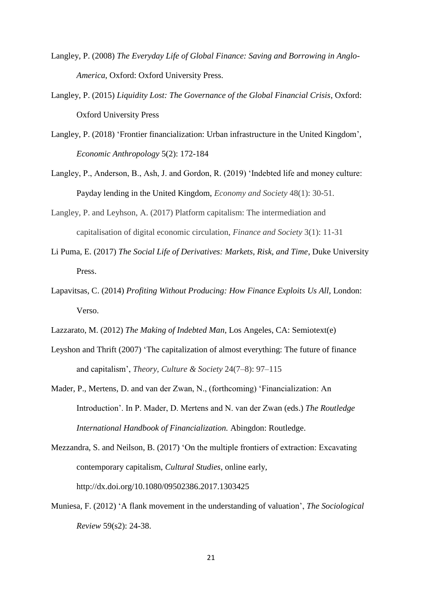- Langley, P. (2008) *The Everyday Life of Global Finance: Saving and Borrowing in Anglo-America*, Oxford: Oxford University Press.
- Langley, P. (2015) *Liquidity Lost: The Governance of the Global Financial Crisis*, Oxford: Oxford University Press
- Langley, P. (2018) 'Frontier financialization: Urban infrastructure in the United Kingdom', *Economic Anthropology* 5(2): 172-184
- Langley, P., Anderson, B., Ash, J. and Gordon, R. (2019) 'Indebted life and money culture: Payday lending in the United Kingdom, *Economy and Society* 48(1): 30-51.
- Langley, P. and Leyhson, A. (2017) Platform capitalism: The intermediation and capitalisation of digital economic circulation, *Finance and Society* 3(1): 11-31
- Li Puma, E. (2017) *The Social Life of Derivatives: Markets, Risk, and Time*, Duke University Press.
- Lapavitsas, C. (2014) *Profiting Without Producing: How Finance Exploits Us All*, London: Verso.
- Lazzarato, M. (2012) *The Making of Indebted Man*, Los Angeles, CA: Semiotext(e)
- Leyshon and Thrift (2007) 'The capitalization of almost everything: The future of finance and capitalism', *Theory, Culture & Society* 24(7–8): 97–115
- Mader, P., Mertens, D. and van der Zwan, N., (forthcoming) 'Financialization: An Introduction'. In P. Mader, D. Mertens and N. van der Zwan (eds.) *The Routledge International Handbook of Financialization.* Abingdon: Routledge.
- Mezzandra, S. and Neilson, B. (2017) 'On the multiple frontiers of extraction: Excavating contemporary capitalism, *Cultural Studies*, online early, http://dx.doi.org/10.1080/09502386.2017.1303425
- Muniesa, F. (2012) 'A flank movement in the understanding of valuation', *The Sociological Review* 59(s2): 24-38.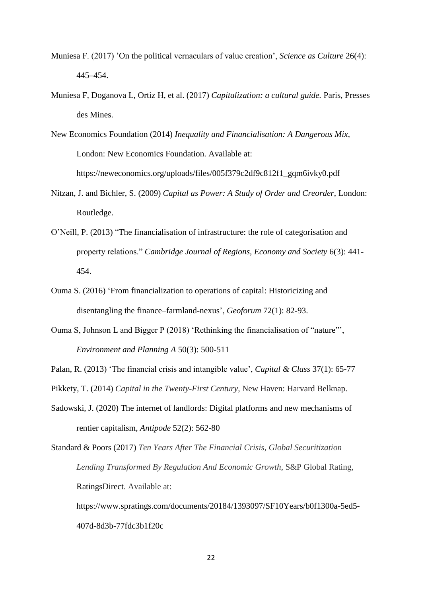- Muniesa F. (2017) 'On the political vernaculars of value creation', *Science as Culture* 26(4): 445–454.
- Muniesa F, Doganova L, Ortiz H, et al. (2017) *Capitalization: a cultural guide.* Paris, Presses des Mines.

New Economics Foundation (2014) *Inequality and Financialisation: A Dangerous Mix*, London: New Economics Foundation. Available at: https://neweconomics.org/uploads/files/005f379c2df9c812f1\_gqm6ivky0.pdf

- Nitzan, J. and Bichler, S. (2009) *Capital as Power: A Study of Order and Creorder*, London: Routledge.
- O'Neill, P. (2013) "The financialisation of infrastructure: the role of categorisation and property relations." *Cambridge Journal of Regions, Economy and Society* 6(3): 441- 454.
- Ouma S. (2016) ['From financialization to operations of capital: Historicizing and](javascript:void(0))  [disentangling the finance–farmland-nexus'](javascript:void(0)), *Geoforum* 72(1): 82-93.
- Ouma S, Johnson L and Bigger P (2018) 'Rethinking the financialisation of "nature"', *Environment and Planning A* 50(3): 500-511

Palan, R. (2013) 'The financial crisis and intangible value', *Capital & Class* 37(1): 65-77

Pikkety, T. (2014) *Capital in the Twenty-First Century,* New Haven: Harvard Belknap.

- Sadowski, J. (2020) The internet of landlords: Digital platforms and new mechanisms of rentier capitalism, *Antipode* 52(2): 562-80
- Standard & Poors (2017) *Ten Years After The Financial Crisis, Global Securitization Lending Transformed By Regulation And Economic Growth*, S&P Global Rating, RatingsDirect. Available at:

https://www.spratings.com/documents/20184/1393097/SF10Years/b0f1300a-5ed5- 407d-8d3b-77fdc3b1f20c